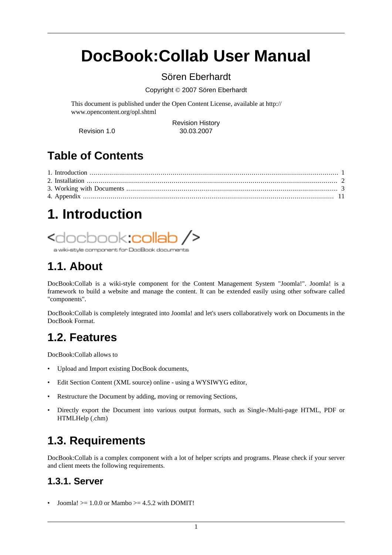# <span id="page-0-0"></span>**DocBook:Collab User Manual**

### Sören Eberhardt

Copyright © 2007 Sören Eberhardt

This document is published under the Open Content License, available at [http://](http://www.opencontent.org/opl.shtml) [www.opencontent.org/opl.shtml](http://www.opencontent.org/opl.shtml)

Revision History Revision 1.0 30.03.2007

## **Table of Contents**

# **1. Introduction**

# <docbook**:collab />**

a wiki-style component for DocBook documents

## **1.1. About**

DocBook:Collab is a wiki-style component for the Content Management System "Joomla!". Joomla! is a framework to build a website and manage the content. It can be extended easily using other software called "components".

DocBook:Collab is completely integrated into Joomla! and let's users collaboratively work on Documents in the DocBook Format.

## **1.2. Features**

DocBook:Collab allows to

- Upload and Import existing DocBook documents,
- Edit Section Content (XML source) online using a WYSIWYG editor,
- Restructure the Document by adding, moving or removing Sections,
- Directly export the Document into various output formats, such as Single-/Multi-page HTML, PDF or HTMLHelp (.chm)

## **1.3. Requirements**

DocBook:Collab is a complex component with a lot of helper scripts and programs. Please check if your server and client meets the following requirements.

### **1.3.1. Server**

Joomla!  $\geq$  1.0.0 or Mambo  $\geq$  4.5.2 with DOMIT!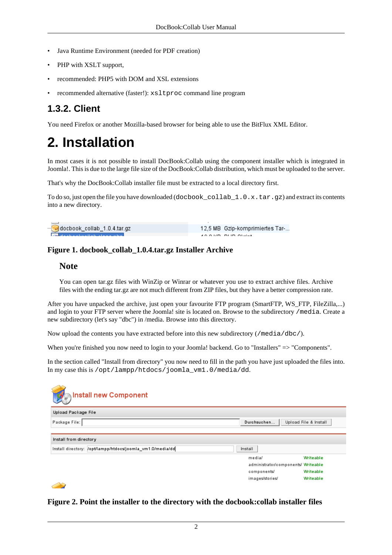- <span id="page-1-0"></span>• Java Runtime Environment (needed for PDF creation)
- PHP with XSLT support,
- recommended: PHP5 with DOM and XSL extensions
- recommended alternative (faster!): xsltproc command line program

### **1.3.2. Client**

You need Firefox or another Mozilla-based browser for being able to use the BitFlux XML Editor.

## **2. Installation**

In most cases it is not possible to install DocBook:Collab using the component installer which is integrated in Joomla!. This is due to the large file size of the DocBook:Collab distribution, which must be uploaded to the server.

That's why the DocBook:Collab installer file must be extracted to a local directory first.

To do so, just open the file you have downloaded (docbook\_collab\_1.0.x.tar.gz) and extract its contents into a new directory.

| $-\frac{1}{\epsilon^2}$ docbook_collab_1.0.4.tar.gz | 12,5 MB Gzip-komprimiertes Tar- |
|-----------------------------------------------------|---------------------------------|
|                                                     |                                 |

#### **Figure 1. docbook\_collab\_1.0.4.tar.gz Installer Archive**

#### **Note**

You can open tar.gz files with WinZip or Winrar or whatever you use to extract archive files. Archive files with the ending tar.gz are not much different from ZIP files, but they have a better compression rate.

After you have unpacked the archive, just open your favourite FTP program (SmartFTP, WS\_FTP, FileZilla,...) and login to your FTP server where the Joomla! site is located on. Browse to the subdirectory /media. Create a new subdirectory (let's say "dbc") in /media. Browse into this directory.

Now upload the contents you have extracted before into this new subdirectory  $(\text{/median/dbc/}).$ 

When you're finished you now need to login to your Joomla! backend. Go to "Installers" => "Components".

In the section called "Install from directory" you now need to fill in the path you have just uploaded the files into. In my case this is /opt/lampp/htdocs/joomla\_vm1.0/media/dd.

| Install new Component<br>ø                                 |                                     |                       |
|------------------------------------------------------------|-------------------------------------|-----------------------|
| Upload Package File                                        |                                     |                       |
| Package File:                                              | Durchsuchen                         | Upload File & Install |
|                                                            |                                     |                       |
| Install from directory                                     |                                     |                       |
| Install directory: /opt/lampp/htdocs/joomla_vm1.0/media/dd | Install                             |                       |
|                                                            | media/                              | Writeable             |
|                                                            | administrator/components/ Writeable |                       |
|                                                            | components/                         | Writeable             |
|                                                            | images/stories/                     | Writeable             |
|                                                            |                                     |                       |

**Figure 2. Point the installer to the directory with the docbook:collab installer files**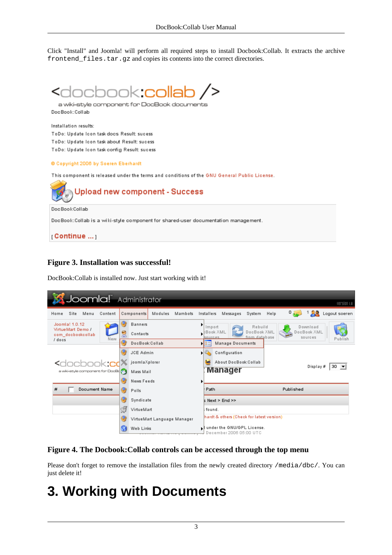<span id="page-2-0"></span>Click "Install" and Joomla! will perform all required steps to install Docbook:Collab. It extracts the archive frontend files.tar.gz and copies its contents into the correct directories.



a wiki-style component for DocBook documents DocBook:Collab

Installation results: ToDo: Update Icon task docs Result: sucess ToDo: Update Icon task about Result: sucess ToDo: Update Icon task config Result: sucess

© Copyright 2006 by Soeren Eberhardt

This component is released under the terms and conditions of the GNU General Public License.



#### **Figure 3. Installation was successful!**

DocBook:Collab is installed now. Just start working with it!



#### **Figure 4. The Docbook:Collab controls can be accessed through the top menu**

Please don't forget to remove the installation files from the newly created directory /media/dbc/. You can just delete it!

## **3. Working with Documents**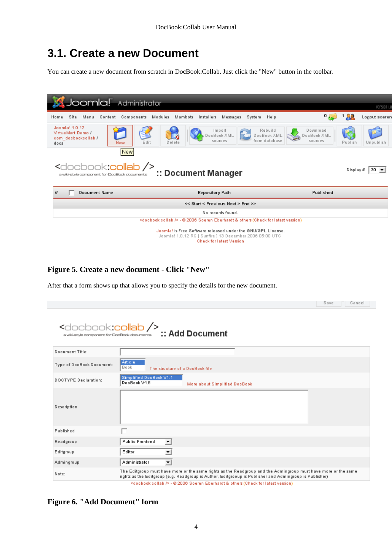### **3.1. Create a new Document**

You can create a new document from scratch in DocBook:Collab. Just click the "New" button in the toolbar.

| Joomla! Administrator                                                                                                                                       |                                                                                       |                                    | version i.e          |  |  |  |  |  |
|-------------------------------------------------------------------------------------------------------------------------------------------------------------|---------------------------------------------------------------------------------------|------------------------------------|----------------------|--|--|--|--|--|
| Site<br>Components<br>Home<br>Menu<br>Content                                                                                                               | Modules<br>Mambots<br>Installers<br>Messages<br>System Help                           | 0                                  | Logout soeren        |  |  |  |  |  |
| Joomla! 1.0.12<br>VirtueMart Demo /<br>com_docbookcollab /<br>Edit<br>New<br>docs                                                                           | Rebuild<br>Import<br>DocBook XML<br>DocBook XML<br>from database<br>sources<br>Delete | Download<br>DocBook XML<br>sources | Publish<br>Unpublish |  |  |  |  |  |
| New<br><docbook:collab></docbook:collab><br>:: Document Manager<br>a wiki-style component for DocBook documents                                             |                                                                                       |                                    |                      |  |  |  |  |  |
| #<br>Document Name                                                                                                                                          | Repository Path                                                                       | Published                          |                      |  |  |  |  |  |
|                                                                                                                                                             | << Start < Previous Next > End >>                                                     |                                    |                      |  |  |  |  |  |
|                                                                                                                                                             | No records found.                                                                     |                                    |                      |  |  |  |  |  |
| <docbook:collab></docbook:collab> - @ 2006 Soeren Eberhardt & others (Check for latest version)                                                             |                                                                                       |                                    |                      |  |  |  |  |  |
| Joomla! is Free Software released under the GNU/GPL License.<br>Joomla! 1.0.12 RC [ Sunfire ] 13 December 2006 05:00 UTC<br><b>Check for latest Version</b> |                                                                                       |                                    |                      |  |  |  |  |  |

#### **Figure 5. Create a new document - Click "New"**

After that a form shows up that allows you to specify the details for the new document.

|                             |                                                                                                                                                                                                                           | Save | Cancel |
|-----------------------------|---------------------------------------------------------------------------------------------------------------------------------------------------------------------------------------------------------------------------|------|--------|
|                             |                                                                                                                                                                                                                           |      |        |
| Document Title:             |                                                                                                                                                                                                                           |      |        |
| Type of DocBook Document:   | Article<br>Book<br>The structure of a DocBook file                                                                                                                                                                        |      |        |
| <b>DOCTYPE Declaration:</b> | Simplified DocBook V1.1<br>DocBook V4.5<br>More about Simplified DocBook                                                                                                                                                  |      |        |
| Description                 |                                                                                                                                                                                                                           |      |        |
| Published                   |                                                                                                                                                                                                                           |      |        |
| Readgroup                   | <b>Public Frontend</b><br>ᅬ                                                                                                                                                                                               |      |        |
| Editgroup                   | Editor<br>회                                                                                                                                                                                                               |      |        |
| Admingroup                  | 회<br>Administrator                                                                                                                                                                                                        |      |        |
| Note:                       | The Editgroup must have more or the same rights as the Readgroup and the Admingroup must have more or the same<br>rights as the Editgroup (e.g. Readgroup is Author, Editgrooup is Publisher and Admingroup is Publisher) |      |        |

**Figure 6. "Add Document" form**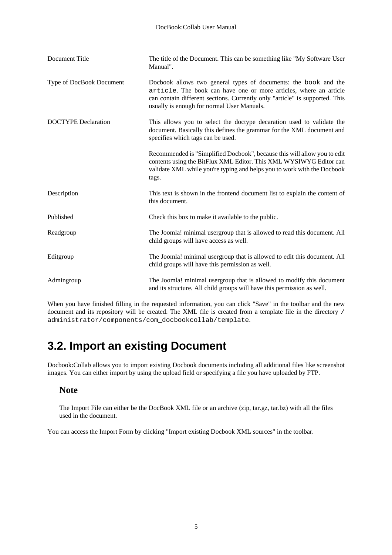| Document Title             | The title of the Document. This can be something like "My Software User"<br>Manual".                                                                                                                                                                              |
|----------------------------|-------------------------------------------------------------------------------------------------------------------------------------------------------------------------------------------------------------------------------------------------------------------|
| Type of DocBook Document   | Docbook allows two general types of documents: the book and the<br>article. The book can have one or more articles, where an article<br>can contain different sections. Currently only "article" is supported. This<br>usually is enough for normal User Manuals. |
| <b>DOCTYPE</b> Declaration | This allows you to select the doctype decaration used to validate the<br>document. Basically this defines the grammar for the XML document and<br>specifies which tags can be used.                                                                               |
|                            | Recommended is "Simplified Docbook", because this will allow you to edit<br>contents using the BitFlux XML Editor. This XML WYSIWYG Editor can<br>validate XML while you're typing and helps you to work with the Docbook<br>tags.                                |
| Description                | This text is shown in the frontend document list to explain the content of<br>this document.                                                                                                                                                                      |
| Published                  | Check this box to make it available to the public.                                                                                                                                                                                                                |
| Readgroup                  | The Joomla! minimal usergroup that is allowed to read this document. All<br>child groups will have access as well.                                                                                                                                                |
| Editgroup                  | The Joomla! minimal usergroup that is allowed to edit this document. All<br>child groups will have this permission as well.                                                                                                                                       |
| Admingroup                 | The Joomla! minimal usergroup that is allowed to modify this document<br>and its structure. All child groups will have this permission as well.                                                                                                                   |

When you have finished filling in the requested information, you can click "Save" in the toolbar and the new document and its repository will be created. The XML file is created from a template file in the directory / administrator/components/com\_docbookcollab/template.

## **3.2. Import an existing Document**

Docbook:Collab allows you to import existing Docbook documents including all additional files like screenshot images. You can either import by using the upload field or specifying a file you have uploaded by FTP.

#### **Note**

The Import File can either be the DocBook XML file or an archive (zip, tar.gz, tar.bz) with all the files used in the document.

You can access the Import Form by clicking "Import existing Docbook XML sources" in the toolbar.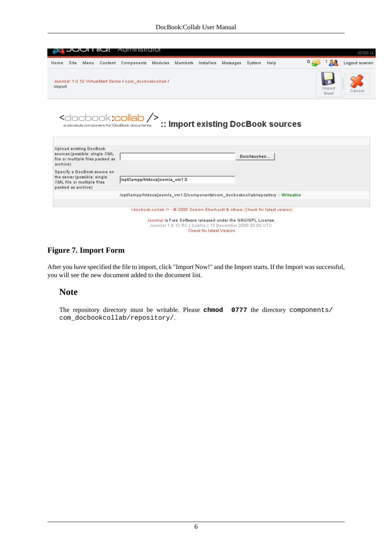|          |                                                                                                                                                             | אטו ו ושל                                                  |                                                                   | <b>Administrator</b>                                                              |  |  |  |  |             |                                                                                                 |                | version i.e   |
|----------|-------------------------------------------------------------------------------------------------------------------------------------------------------------|------------------------------------------------------------|-------------------------------------------------------------------|-----------------------------------------------------------------------------------|--|--|--|--|-------------|-------------------------------------------------------------------------------------------------|----------------|---------------|
| Home     | Site                                                                                                                                                        | Menu                                                       |                                                                   | Content Components Modules Mambots Installers Messages System Help                |  |  |  |  |             |                                                                                                 | οs             | Logout soeren |
|          |                                                                                                                                                             |                                                            |                                                                   |                                                                                   |  |  |  |  |             |                                                                                                 |                |               |
| import   |                                                                                                                                                             |                                                            |                                                                   | Joomla! 1.0.12 VirtueMart Demo / com_docbookcollab /                              |  |  |  |  |             |                                                                                                 | Import<br>Now! | Cance         |
|          |                                                                                                                                                             |                                                            |                                                                   | <docbook:collab></docbook:collab><br>a wiki-style component for DocBook documents |  |  |  |  |             | :: Import existing DocBook sources                                                              |                |               |
| archive) |                                                                                                                                                             | Upload existing DocBook                                    | sources (possible: single XML<br>file or multiple files packed as |                                                                                   |  |  |  |  | Durchsuchen |                                                                                                 |                |               |
|          | packed as archive)                                                                                                                                          | the server (possible: single<br>XML file or multiple files | Specify a DocBook source on                                       | Vopt/lampp/htdocs/joomla_vm1.0                                                    |  |  |  |  |             |                                                                                                 |                |               |
|          |                                                                                                                                                             |                                                            |                                                                   |                                                                                   |  |  |  |  |             | /opt/lampp/htdocs/joomla_vm1.0/components/com_docbookcollab/repository :: Writeable             |                |               |
|          |                                                                                                                                                             |                                                            |                                                                   |                                                                                   |  |  |  |  |             |                                                                                                 |                |               |
|          |                                                                                                                                                             |                                                            |                                                                   |                                                                                   |  |  |  |  |             | <docbook:collab></docbook:collab> - © 2006 Soeren Eberhardt & others (Check for latest version) |                |               |
|          | Joomla! is Free Software released under the GNU/GPL License.<br>Joomla! 1.0.12 RC [ Sunfire ] 13 December 2006 05:00 UTC<br><b>Check for latest Version</b> |                                                            |                                                                   |                                                                                   |  |  |  |  |             |                                                                                                 |                |               |

#### **Figure 7. Import Form**

After you have specified the file to import, click "Import Now!" and the Import starts. If the Import was successful, you will see the new document added to the document list.

#### **Note**

The repository directory must be writable. Please **chmod 0777** the directory components/ com\_docbookcollab/repository/.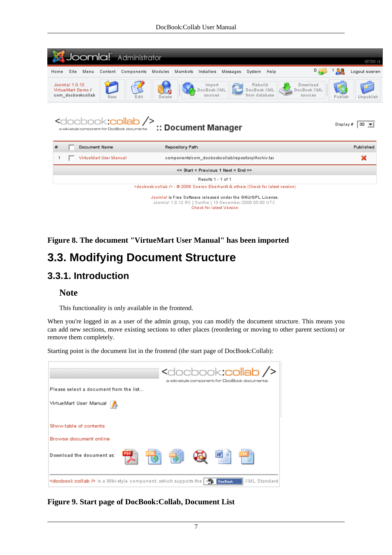|                                                                                                                                                             | Joomla! Administrator<br>version i.e                                                                                                                        |                   |                        |            |         |                 |                                                    |          |  |                                         |      |                                    |            |         |               |  |
|-------------------------------------------------------------------------------------------------------------------------------------------------------------|-------------------------------------------------------------------------------------------------------------------------------------------------------------|-------------------|------------------------|------------|---------|-----------------|----------------------------------------------------|----------|--|-----------------------------------------|------|------------------------------------|------------|---------|---------------|--|
| Home                                                                                                                                                        | Site                                                                                                                                                        | Menu              | Content                | Components | Modules | Mambots         | Installers                                         | Messages |  | System                                  | Help |                                    | $^{\circ}$ |         | Logout soeren |  |
|                                                                                                                                                             | Joomla! 1.0.12<br>VirtueMart Demo /                                                                                                                         | com docbookcollab | New                    | Edit       | Delete  |                 | Import<br>DocBook XML<br>sources                   |          |  | Rebuild<br>DocBook XML<br>from database |      | Download<br>DocBook XML<br>sources |            | Publish | Unpublish     |  |
|                                                                                                                                                             | <docbook<b>:collab /&gt;<br/><math>30 \rightarrow</math><br/>Display #<br/>:: Document Manager<br/>a wiki-style component for DocBook documents</docbook<b> |                   |                        |            |         |                 |                                                    |          |  |                                         |      |                                    |            |         |               |  |
| #                                                                                                                                                           |                                                                                                                                                             | Document Name     |                        |            |         | Repository Path |                                                    |          |  |                                         |      |                                    |            |         | Published     |  |
| 1                                                                                                                                                           |                                                                                                                                                             |                   | VirtueMart User Manual |            |         |                 | components/com docbookcollab/repository/Archiv.tar |          |  |                                         |      |                                    |            |         | ×             |  |
|                                                                                                                                                             | << Start < Previous 1 Next > End >>                                                                                                                         |                   |                        |            |         |                 |                                                    |          |  |                                         |      |                                    |            |         |               |  |
|                                                                                                                                                             | Results 1 - 1 of 1                                                                                                                                          |                   |                        |            |         |                 |                                                    |          |  |                                         |      |                                    |            |         |               |  |
|                                                                                                                                                             | <docbook:collab></docbook:collab> - © 2006 Soeren Eberhardt & others (Check for latest version)                                                             |                   |                        |            |         |                 |                                                    |          |  |                                         |      |                                    |            |         |               |  |
| Joomla! is Free Software released under the GNU/GPL License.<br>Joomla! 1.0.12 RC [ Sunfire ] 13 December 2006 05:00 UTC<br><b>Check for latest Version</b> |                                                                                                                                                             |                   |                        |            |         |                 |                                                    |          |  |                                         |      |                                    |            |         |               |  |

### **Figure 8. The document "VirtueMart User Manual" has been imported**

### **3.3. Modifying Document Structure**

### **3.3.1. Introduction**

#### **Note**

This functionality is only available in the frontend.

When you're logged in as a user of the admin group, you can modify the document structure. This means you can add new sections, move existing sections to other places (reordering or moving to other parent sections) or remove them completely.

Starting point is the document list in the frontend (the start page of DocBook:Collab):

|                                                                                                                                         | <docbook:collab></docbook:collab><br>a wiki-style component for DocBook documents |
|-----------------------------------------------------------------------------------------------------------------------------------------|-----------------------------------------------------------------------------------|
| Please select a document from the list                                                                                                  |                                                                                   |
| VirtueMart User Manual                                                                                                                  |                                                                                   |
| Show table of contents<br>Browse document online                                                                                        |                                                                                   |
| <b>PDF</b><br>Download the document as:                                                                                                 |                                                                                   |
| <docbook:collab <math="">\triangleright is a Wiki-style component, which supports the <math>\lvert \cdot \rvert</math></docbook:collab> | XML Standard<br><b>DocBook</b>                                                    |

**Figure 9. Start page of DocBook:Collab, Document List**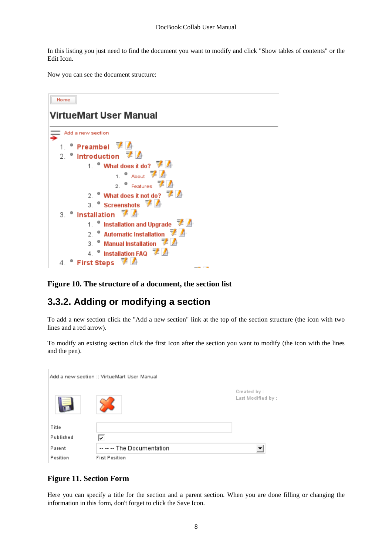In this listing you just need to find the document you want to modify and click "Show tables of contents" or the Edit Icon.

Now you can see the document structure:

#### Home **VirtueMart User Manual** Add a new section • Preambel  $\overline{\mathscr{F}}$  $1$ . 2.  $\bullet$  Introduction  $\frac{1}{2}$ 1. <sup>\*</sup> What does it do? 1.  $\bullet$  About  $\overline{7}$  / 2.  $\bullet$  Features  $\overline{u}$ 2. <sup>●</sup> What does it not do? <sup>萝</sup>乙 3. Screenshots  $\vec{F}$ 3. *Installation*  $\vec{F}$   $\vec{A}$ 1. <sup>●</sup> Installation and Upgrade <sup>→</sup> 2. • Automatic Installation 了 3. <sup>●</sup> Manual Installation <sup>菲</sup> 4. <sup>·</sup> Installation FAQ <sup>7</sup> ● First Steps **▼** 4.

**Figure 10. The structure of a document, the section list**

### **3.3.2. Adding or modifying a section**

To add a new section click the "Add a new section" link at the top of the section structure (the icon with two lines and a red arrow).

To modify an existing section click the first Icon after the section you want to modify (the icon with the lines and the pen).

|           | Add a new section :: VirtueMart User Manual |                                    |
|-----------|---------------------------------------------|------------------------------------|
| ═         |                                             | Created by :<br>Last Modified by : |
| Title     |                                             |                                    |
| Published | ⇂                                           |                                    |
| Parent    | -- -- -- The Documentation                  |                                    |
| Position  | <b>First Position</b>                       |                                    |

#### **Figure 11. Section Form**

 $\mathbf{I}$ 

Here you can specify a title for the section and a parent section. When you are done filling or changing the information in this form, don't forget to click the Save Icon.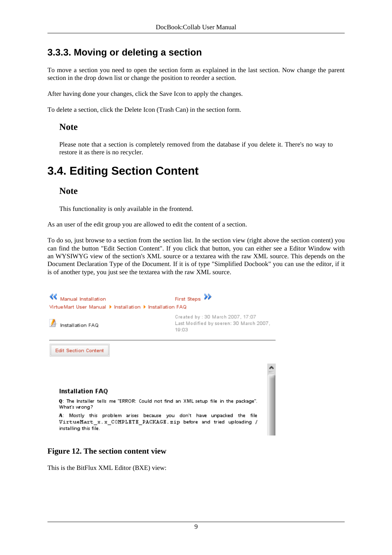### **3.3.3. Moving or deleting a section**

To move a section you need to open the section form as explained in the last section. Now change the parent section in the drop down list or change the position to reorder a section.

After having done your changes, click the Save Icon to apply the changes.

To delete a section, click the Delete Icon (Trash Can) in the section form.

#### **Note**

Please note that a section is completely removed from the database if you delete it. There's no way to restore it as there is no recycler.

## **3.4. Editing Section Content**

#### **Note**

This functionality is only available in the frontend.

As an user of the edit group you are allowed to edit the content of a section.

To do so, just browse to a section from the section list. In the section view (right above the section content) you can find the button "Edit Section Content". If you click that button, you can either see a Editor Window with an WYSIWYG view of the section's XML source or a textarea with the raw XML source. This depends on the Document Declaration Type of the Document. If it is of type "Simplified Docbook" you can use the editor, if it is of another type, you just see the textarea with the raw XML source.



#### **Figure 12. The section content view**

This is the BitFlux XML Editor (BXE) view: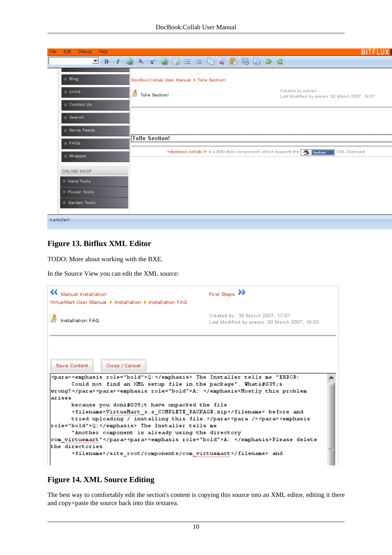| Help<br>File<br>Edit<br>Debug |                                            | BIT                                                                                                                      |
|-------------------------------|--------------------------------------------|--------------------------------------------------------------------------------------------------------------------------|
| $\Box$ B                      | $\overline{\mathcal{F}}$<br>۵              | $\mathbf{x}_1$ $\mathbf{x}_2$ $\mathbf{a}$ $\mathbf{b}$ $\mathbf{c}$ $\mathbf{c}$ $\mathbf{c}$ $\mathbf{c}$ $\mathbf{c}$ |
| <b>Blog</b>                   | DocBookCollab User Manual ▶ Tolle Section! |                                                                                                                          |
| <b>Links</b>                  | Tolle Section!                             | Created by soeren: -<br>Last Modified by soeren: 30 March 2007, 19:37                                                    |
| Contact Us                    |                                            |                                                                                                                          |
| Search                        |                                            |                                                                                                                          |
| News Feeds                    |                                            |                                                                                                                          |
| FAQS                          | Tolle Section!                             |                                                                                                                          |
| Wrapper                       |                                            | <docbook:collab> is a Wiki-style component, which supports the<br/>XML Standard</docbook:collab>                         |
| ONLINE-SHOP                   |                                            |                                                                                                                          |
| <b>Hand Tools</b>             |                                            |                                                                                                                          |
| Power Tools                   |                                            |                                                                                                                          |
| Garden Tools                  |                                            |                                                                                                                          |
| <article></article>           |                                            |                                                                                                                          |

#### **Figure 13. Bitflux XML Editor**

TODO: More about working with the BXE.

In the Source View you can edit the XML source:

| <b>K</b> Manual Installation<br>VirtueMart User Manual ▶ Installation ▶ Installation FAQ                                                                                                                                                                                                                                                                                                                                                                                                              | First Steps                                                                       |
|-------------------------------------------------------------------------------------------------------------------------------------------------------------------------------------------------------------------------------------------------------------------------------------------------------------------------------------------------------------------------------------------------------------------------------------------------------------------------------------------------------|-----------------------------------------------------------------------------------|
| Installation FAQ                                                                                                                                                                                                                                                                                                                                                                                                                                                                                      | Created by: 30 March 2007, 17:07<br>Last Modified by soeren: 30 March 2007, 19:03 |
| Close / Cancel<br>Save Content<br>  <para><emphasis role="bold">Q:</emphasis> The Installer tells me "ERROR:<br/>Could not find an XML setup file in the package". What's<br/>wrong?</para> <para><emphasis role="bold">A: </emphasis>Mostly this problem</para>                                                                                                                                                                                                                                      |                                                                                   |
| larises<br>because you don't have unpacked the file<br><filename>VirtueMart x.x COMPLETE PACKAGE.zip</filename> before and<br>tried uploading / installing this file. <para></para> <para><emphasis<br> role="bold"&gt;Q: The Installer tells me<br/>"Another component is already using the directory<br/> com virtuemart"</emphasis<br></para> <para><emphasis role="bold">A: </emphasis>Please delete<br/>the directories<br/><filename>/site_root/components/com_virtuemart</filename> and</para> |                                                                                   |

#### **Figure 14. XML Source Editing**

The best way to comfortably edit the section's content is copying this source into an XML editor, editing it there and copy+paste the source back into this textarea.